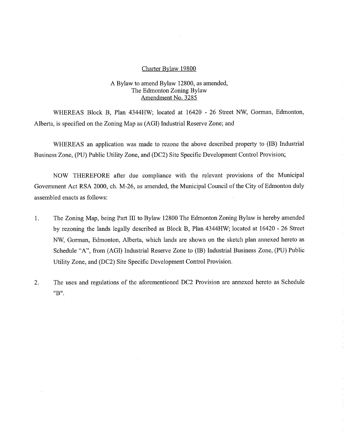#### Charter Bylaw 19800

### A Bylaw to amend Bylaw 12800, as amended, The Edmonton Zoning Bylaw Amendment No. 3285

WHEREAS Block B, Plan 4344HW; located at 16420 - 26 Street NW, Gorman, Edmonton, Alberta, is specified on the Zoning Map as (AGI) Industrial Reserve Zone; and

WHEREAS an application was made to rezone the above described property to (IB) Industrial Business Zone, (PU) Public Utility Zone, and (DC2) Site Specific Development Control Provision;

NOW THEREFORE after due compliance with the relevant provisions of the Municipal Government Act RSA 2000, ch. M-26, as amended, the Municipal Council of the City of Edmonton duly assembled enacts as follows:

- 1. The Zoning Map, being Part III to Bylaw 12800 The Edmonton Zoning Bylaw is hereby amended by rezoning the lands legally described as Block B, Plan 4344HW; located at 16420 - 26 Street NW, Gorman, Edmonton, Alberta, which lands are shown on the sketch plan annexed hereto as Schedule "A", from (AGI) Industrial Reserve Zone to (IB) Industrial Business Zone, (PU) Public Utility Zone, and (DC2) Site Specific Development Control Provision.
- 2. The uses and regulations of the aforementioned DC2 Provision are annexed hereto as Schedule "B".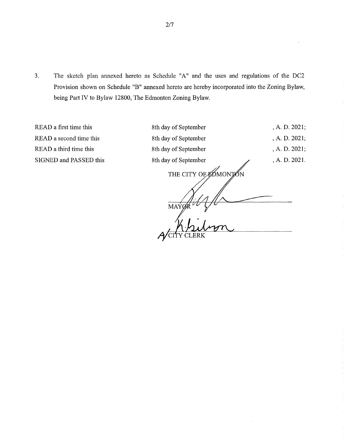3. The sketch plan annexed hereto as Schedule "A" and the uses and regulations of the DC2 Provision shown on Schedule "B" annexed hereto are hereby incorporated into the Zoning Bylaw, being Part IV to Bylaw 12800, The Edmonton Zoning Bylaw.

READ a first time this 8th day of September , A. D. 2021; READ a second time this 8th day of September , A. D. 2021; READ a third time this 8th day of September , A. D. 2021; SIGNED and PASSED this 8th day of September , A. D. 2021.

THE CITY OF ROMONTON **MAYØ** Acity CLERK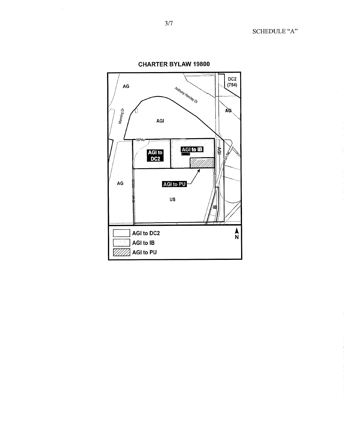SCHEDULE "A"



**CHARTER BYLAW 19800** 

 $\mathcal{L}_{\mathcal{A}}$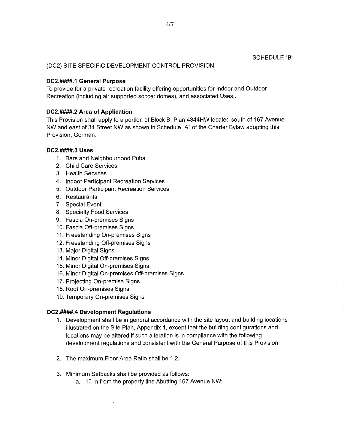(DC2) SITE SPECIFIC DEVELOPMENT CONTROL PROVISION

## **DC2.####.1 General Purpose**

To provide for a private recreation facility offering opportunities for Indoor and Outdoor Recreation (including air supported soccer domes), and associated Uses,.

# **DC2.####.2 Area of Application**

This Provision shall apply to a portion of Block B, Plan 4344HW located south of 167 Avenue NW and east of 34 Street NW as shown in Schedule "A" of the Charter Bylaw adopting this Provision, Gorman.

# **DC2.####.3 Uses**

- 1. Bars and Neighbourhood Pubs
- 2. Child Care Services
- 3. Health Services
- 4. Indoor Participant Recreation Services
- 5. Outdoor Participant Recreation Services
- 6. Restaurants
- 7. Special Event
- 8. Specialty Food Services
- 9. Fascia On-premises Signs
- 10.Fascia Off-premises Signs
- 11.Freestanding On-premises Signs
- 12.Freestanding Off-premises Signs
- 13.Major Digital Signs
- 14.Minor Digital Off-premises Signs
- 15.Minor Digital On-premises Signs
- 16.Minor Digital On-premises Off-premises Signs
- 17.Projecting On-premise Signs
- 18.Roof On-premises Signs
- 19.Temporary On-premises Signs

## **DC2.####.4 Development Regulations**

- 1. Development shall be in general accordance with the site layout and building locations illustrated on the Site Plan, Appendix 1, except that the building configurations and locations may be altered if such alteration is in compliance with the following development regulations and consistent with the General Purpose of this Provision.
- 2. The maximum Floor Area Ratio shall be 1.2.
- 3. Minimum Setbacks shall be provided as follows:
	- a. 10 m from the property line Abutting 167 Avenue NW;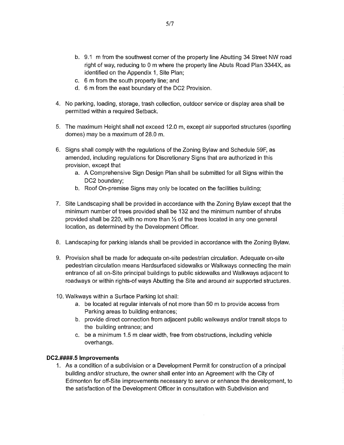- b. 9.1 m from the southwest corner of the property line Abutting 34 Street NW road right of way, reducing to 0 m where the property line Abuts Road Plan 3344X, as identified on the Appendix 1, Site Plan;
- c. 6 m from the south property line; and
- d. 6 m from the east boundary of the DC2 Provision.
- 4. No parking, loading, storage, trash collection, outdoor service or display area shall be permitted within a required Setback.
- 5. The maximum Height shall not exceed 12.0 m, except air supported structures (sporting domes) may be a maximum of 28.0 m.
- 6. Signs shall comply with the regulations of the Zoning Bylaw and Schedule 59F, as amended, including regulations for Discretionary Signs that are authorized in this provision, except that
	- a. A Comprehensive Sign Design Plan shall be submitted for all Signs within the DC2 boundary;
	- b. Roof On-premise Signs may only be located on the facilities building;
- 7. Site Landscaping shall be provided in accordance with the Zoning Bylaw except that the minimum number of trees provided shall be 132 and the minimum number of shrubs provided shall be 220, with no more than  $1/2$  of the trees located in any one general location, as determined by the Development Officer.
- 8. Landscaping for parking islands shall be provided in accordance with the Zoning Bylaw.
- 9. Provision shall be made for adequate on-site pedestrian circulation. Adequate on-site pedestrian circulation means Hardsurfaced sidewalks or Walkways connecting the main entrance of all on-Site principal buildings to public sidewalks and Walkways adjacent to roadways or within rights-of ways Abutting the Site and around air supported structures.
- 10. Walkways within a Surface Parking lot shall:
	- a. be located at regular intervals of not more than 50 m to provide access from Parking areas to building entrances;
	- b. provide direct connection from adjacent public walkways and/or transit stops to the building entrance; and
	- c. be a minimum 1.5 m clear width, free from obstructions, including vehicle overhangs.

#### **DC2.####.5 Improvements**

1. As a condition of a subdivision or a Development Permit for construction of a principal building and/or structure, the owner shall enter into an Agreement with the City of Edmonton for off-Site improvements necessary to serve or enhance the development, to the satisfaction of the Development Officer in consultation with Subdivision and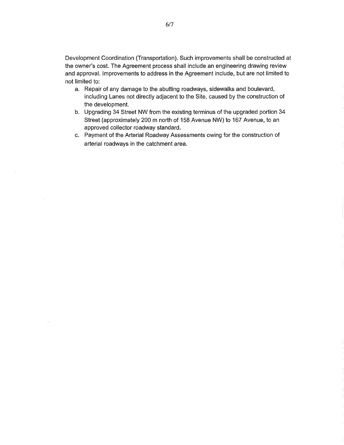Development Coordination (Transportation). Such improvements shall be constructed at the owner's cost. The Agreement process shall include an engineering drawing review and approval. Improvements to address in the Agreement include, but are not limited to not limited to:

- a. Repair of any damage to the abutting roadways, sidewalks and boulevard, including Lanes not directly adjacent to the Site, caused by the construction of the development.
- b. Upgrading 34 Street NW from the existing terminus of the upgraded portion 34 Street (approximately 200 m north of 158 Avenue NW) to 167 Avenue, to an approved collector roadway standard.
- c. Payment of the Arterial Roadway Assessments owing for the construction of arterial roadways in the catchment area.